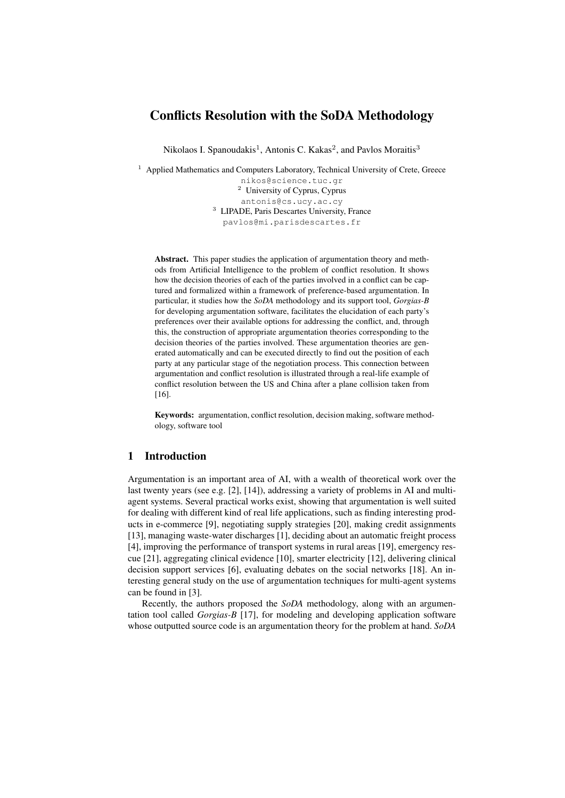# Conflicts Resolution with the SoDA Methodology

Nikolaos I. Spanoudakis<sup>1</sup>, Antonis C. Kakas<sup>2</sup>, and Pavlos Moraitis<sup>3</sup>

<sup>1</sup> Applied Mathematics and Computers Laboratory, Technical University of Crete, Greece

nikos@science.tuc.gr <sup>2</sup> University of Cyprus, Cyprus antonis@cs.ucy.ac.cy <sup>3</sup> LIPADE, Paris Descartes University, France pavlos@mi.parisdescartes.fr

Abstract. This paper studies the application of argumentation theory and methods from Artificial Intelligence to the problem of conflict resolution. It shows how the decision theories of each of the parties involved in a conflict can be captured and formalized within a framework of preference-based argumentation. In particular, it studies how the *SoDA* methodology and its support tool, *Gorgias-B* for developing argumentation software, facilitates the elucidation of each party's preferences over their available options for addressing the conflict, and, through this, the construction of appropriate argumentation theories corresponding to the decision theories of the parties involved. These argumentation theories are generated automatically and can be executed directly to find out the position of each party at any particular stage of the negotiation process. This connection between argumentation and conflict resolution is illustrated through a real-life example of conflict resolution between the US and China after a plane collision taken from [16].

Keywords: argumentation, conflict resolution, decision making, software methodology, software tool

# 1 Introduction

Argumentation is an important area of AI, with a wealth of theoretical work over the last twenty years (see e.g. [2], [14]), addressing a variety of problems in AI and multiagent systems. Several practical works exist, showing that argumentation is well suited for dealing with different kind of real life applications, such as finding interesting products in e-commerce [9], negotiating supply strategies [20], making credit assignments [13], managing waste-water discharges [1], deciding about an automatic freight process [4], improving the performance of transport systems in rural areas [19], emergency rescue [21], aggregating clinical evidence [10], smarter electricity [12], delivering clinical decision support services [6], evaluating debates on the social networks [18]. An interesting general study on the use of argumentation techniques for multi-agent systems can be found in [3].

Recently, the authors proposed the *SoDA* methodology, along with an argumentation tool called *Gorgias-B* [17], for modeling and developing application software whose outputted source code is an argumentation theory for the problem at hand. *SoDA*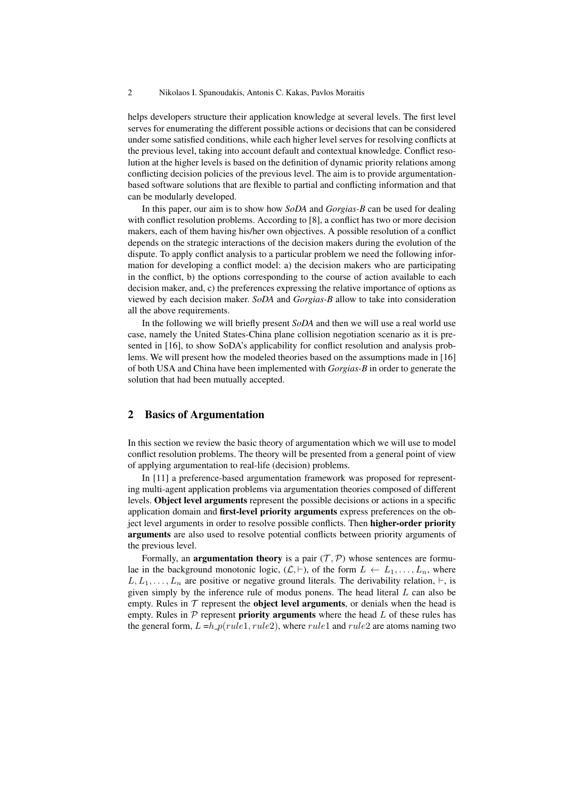helps developers structure their application knowledge at several levels. The first level serves for enumerating the different possible actions or decisions that can be considered under some satisfied conditions, while each higher level serves for resolving conflicts at the previous level, taking into account default and contextual knowledge. Conflict resolution at the higher levels is based on the definition of dynamic priority relations among conflicting decision policies of the previous level. The aim is to provide argumentationbased software solutions that are flexible to partial and conflicting information and that can be modularly developed.

In this paper, our aim is to show how *SoDA* and *Gorgias-B* can be used for dealing with conflict resolution problems. According to [8], a conflict has two or more decision makers, each of them having his/her own objectives. A possible resolution of a conflict depends on the strategic interactions of the decision makers during the evolution of the dispute. To apply conflict analysis to a particular problem we need the following information for developing a conflict model: a) the decision makers who are participating in the conflict, b) the options corresponding to the course of action available to each decision maker, and, c) the preferences expressing the relative importance of options as viewed by each decision maker. *SoDA* and *Gorgias-B* allow to take into consideration all the above requirements.

In the following we will briefly present *SoDA* and then we will use a real world use case, namely the United States-China plane collision negotiation scenario as it is presented in [16], to show SoDA's applicability for conflict resolution and analysis problems. We will present how the modeled theories based on the assumptions made in [16] of both USA and China have been implemented with *Gorgias-B* in order to generate the solution that had been mutually accepted.

### 2 Basics of Argumentation

In this section we review the basic theory of argumentation which we will use to model conflict resolution problems. The theory will be presented from a general point of view of applying argumentation to real-life (decision) problems.

In [11] a preference-based argumentation framework was proposed for representing multi-agent application problems via argumentation theories composed of different levels. Object level arguments represent the possible decisions or actions in a specific application domain and first-level priority arguments express preferences on the object level arguments in order to resolve possible conflicts. Then **higher-order priority** arguments are also used to resolve potential conflicts between priority arguments of the previous level.

Formally, an **argumentation theory** is a pair  $(\mathcal{T}, \mathcal{P})$  whose sentences are formulae in the background monotonic logic,  $(\mathcal{L}, \vdash)$ , of the form  $L \leftarrow L_1, \ldots, L_n$ , where  $L, L_1, \ldots, L_n$  are positive or negative ground literals. The derivability relation,  $\vdash$ , is given simply by the inference rule of modus ponens. The head literal  $L$  can also be empty. Rules in  $\mathcal T$  represent the **object level arguments**, or denials when the head is empty. Rules in  $P$  represent **priority arguments** where the head  $L$  of these rules has the general form,  $L = h\text{-}p(rule1, rule2)$ , where  $rule1$  and  $rule2$  are atoms naming two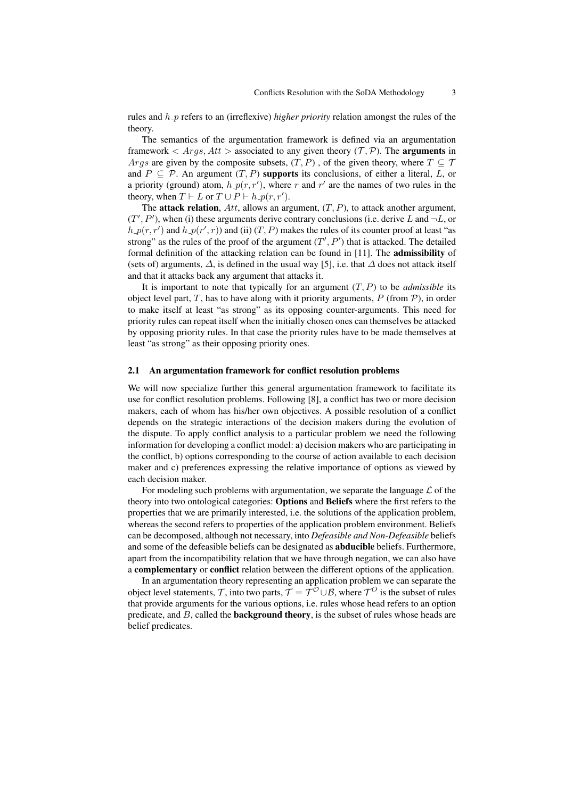rules and  $h$ <sub>-</sub> $p$  refers to an (irreflexive) *higher priority* relation amongst the rules of the theory.

The semantics of the argumentation framework is defined via an argumentation framework  $\langle Arg, Att \rangle$  associated to any given theory  $(\mathcal{T}, \mathcal{P})$ . The **arguments** in *Args* are given by the composite subsets,  $(T, P)$ , of the given theory, where  $T \subset T$ and  $P \subseteq \mathcal{P}$ . An argument  $(T, P)$  supports its conclusions, of either a literal, L, or a priority (ground) atom,  $h_{\perp}p(r, r')$ , where r and r' are the names of two rules in the theory, when  $T \vdash L$  or  $T \cup P \vdash h \varphi(r, r').$ 

The **attack relation**,  $Att$ , allows an argument,  $(T, P)$ , to attack another argument,  $(T', P')$ , when (i) these arguments derive contrary conclusions (i.e. derive L and  $\neg L$ , or  $h_{\text{-}p}(r, r')$  and  $h_{\text{-}p}(r', r)$ ) and (ii)  $(T, P)$  makes the rules of its counter proof at least "as strong" as the rules of the proof of the argument  $(T', P')$  that is attacked. The detailed formal definition of the attacking relation can be found in [11]. The admissibility of (sets of) arguments,  $\Delta$ , is defined in the usual way [5], i.e. that  $\Delta$  does not attack itself and that it attacks back any argument that attacks it.

It is important to note that typically for an argument  $(T, P)$  to be *admissible* its object level part, T, has to have along with it priority arguments,  $P$  (from  $\mathcal{P}$ ), in order to make itself at least "as strong" as its opposing counter-arguments. This need for priority rules can repeat itself when the initially chosen ones can themselves be attacked by opposing priority rules. In that case the priority rules have to be made themselves at least "as strong" as their opposing priority ones.

#### 2.1 An argumentation framework for conflict resolution problems

We will now specialize further this general argumentation framework to facilitate its use for conflict resolution problems. Following [8], a conflict has two or more decision makers, each of whom has his/her own objectives. A possible resolution of a conflict depends on the strategic interactions of the decision makers during the evolution of the dispute. To apply conflict analysis to a particular problem we need the following information for developing a conflict model: a) decision makers who are participating in the conflict, b) options corresponding to the course of action available to each decision maker and c) preferences expressing the relative importance of options as viewed by each decision maker.

For modeling such problems with argumentation, we separate the language  $\mathcal L$  of the theory into two ontological categories: Options and Beliefs where the first refers to the properties that we are primarily interested, i.e. the solutions of the application problem, whereas the second refers to properties of the application problem environment. Beliefs can be decomposed, although not necessary, into *Defeasible and Non-Defeasible* beliefs and some of the defeasible beliefs can be designated as abducible beliefs. Furthermore, apart from the incompatibility relation that we have through negation, we can also have a complementary or conflict relation between the different options of the application.

In an argumentation theory representing an application problem we can separate the object level statements,  $\mathcal{T},$  into two parts,  $\mathcal{T} = \mathcal{T}^\mathcal{O} \cup \mathcal{B}$ , where  $\mathcal{T}^O$  is the subset of rules that provide arguments for the various options, i.e. rules whose head refers to an option predicate, and  $B$ , called the **background theory**, is the subset of rules whose heads are belief predicates.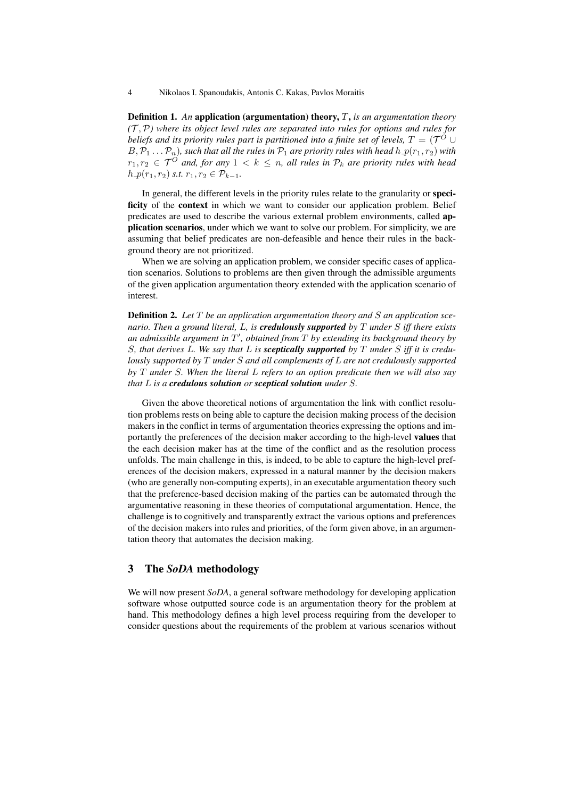Definition 1. *An* application (argumentation) theory, T, *is an argumentation theory*  $(\mathcal{T}, \mathcal{P})$  where its object level rules are separated into rules for options and rules for *beliefs and its priority rules part is partitioned into a finite set of levels,*  $T = (\mathcal{T}^{O} \cup$  $B, P_1 \ldots P_n$ *), such that all the rules in*  $P_1$  *are priority rules with head*  $h \cdot p(r_1, r_2)$  *with*  $r_1, r_2 \in \mathcal{T}^{\mathcal{O}}$  and, for any  $1 \leq k \leq n$ , all rules in  $\mathcal{P}_k$  are priority rules with head  $h_{-p}(r_1, r_2)$  *s.t.*  $r_1, r_2 \in \mathcal{P}_{k-1}$ .

In general, the different levels in the priority rules relate to the granularity or specificity of the context in which we want to consider our application problem. Belief predicates are used to describe the various external problem environments, called application scenarios, under which we want to solve our problem. For simplicity, we are assuming that belief predicates are non-defeasible and hence their rules in the background theory are not prioritized.

When we are solving an application problem, we consider specific cases of application scenarios. Solutions to problems are then given through the admissible arguments of the given application argumentation theory extended with the application scenario of interest.

Definition 2. *Let* T *be an application argumentation theory and* S *an application scenario. Then a ground literal,* L*, is credulously supported by* T *under* S *iff there exists an admissible argument in* T 0 *, obtained from* T *by extending its background theory by* S*, that derives* L*. We say that* L *is sceptically supported by* T *under* S *iff it is credulously supported by* T *under* S *and all complements of* L *are not credulously supported by* T *under* S*. When the literal* L *refers to an option predicate then we will also say that* L *is a credulous solution or sceptical solution under* S*.*

Given the above theoretical notions of argumentation the link with conflict resolution problems rests on being able to capture the decision making process of the decision makers in the conflict in terms of argumentation theories expressing the options and importantly the preferences of the decision maker according to the high-level values that the each decision maker has at the time of the conflict and as the resolution process unfolds. The main challenge in this, is indeed, to be able to capture the high-level preferences of the decision makers, expressed in a natural manner by the decision makers (who are generally non-computing experts), in an executable argumentation theory such that the preference-based decision making of the parties can be automated through the argumentative reasoning in these theories of computational argumentation. Hence, the challenge is to cognitively and transparently extract the various options and preferences of the decision makers into rules and priorities, of the form given above, in an argumentation theory that automates the decision making.

## 3 The *SoDA* methodology

We will now present *SoDA*, a general software methodology for developing application software whose outputted source code is an argumentation theory for the problem at hand. This methodology defines a high level process requiring from the developer to consider questions about the requirements of the problem at various scenarios without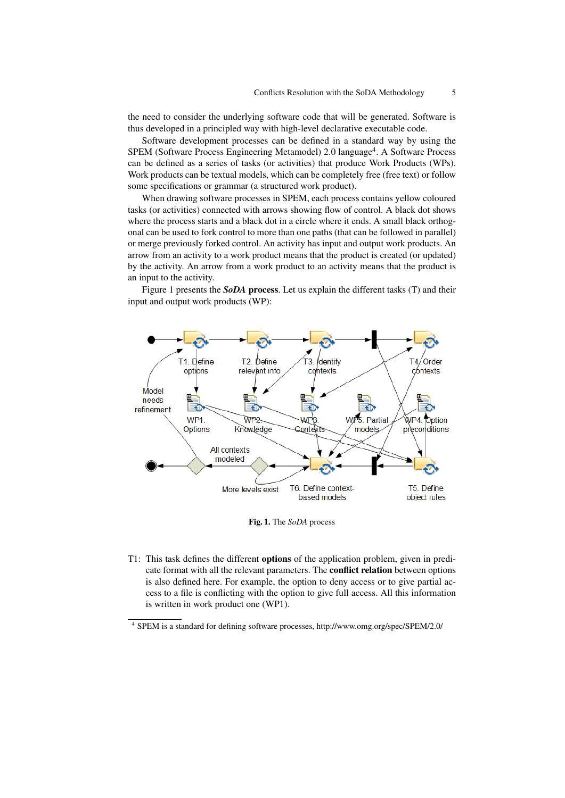the need to consider the underlying software code that will be generated. Software is thus developed in a principled way with high-level declarative executable code.

Software development processes can be defined in a standard way by using the SPEM (Software Process Engineering Metamodel) 2.0 language<sup>4</sup>. A Software Process can be defined as a series of tasks (or activities) that produce Work Products (WPs). Work products can be textual models, which can be completely free (free text) or follow some specifications or grammar (a structured work product).

When drawing software processes in SPEM, each process contains yellow coloured tasks (or activities) connected with arrows showing flow of control. A black dot shows where the process starts and a black dot in a circle where it ends. A small black orthogonal can be used to fork control to more than one paths (that can be followed in parallel) or merge previously forked control. An activity has input and output work products. An arrow from an activity to a work product means that the product is created (or updated) by the activity. An arrow from a work product to an activity means that the product is an input to the activity.

Figure 1 presents the *SoDA* process. Let us explain the different tasks (T) and their input and output work products (WP):



Fig. 1. The *SoDA* process

T1: This task defines the different options of the application problem, given in predicate format with all the relevant parameters. The conflict relation between options is also defined here. For example, the option to deny access or to give partial access to a file is conflicting with the option to give full access. All this information is written in work product one (WP1).

<sup>4</sup> SPEM is a standard for defining software processes, http://www.omg.org/spec/SPEM/2.0/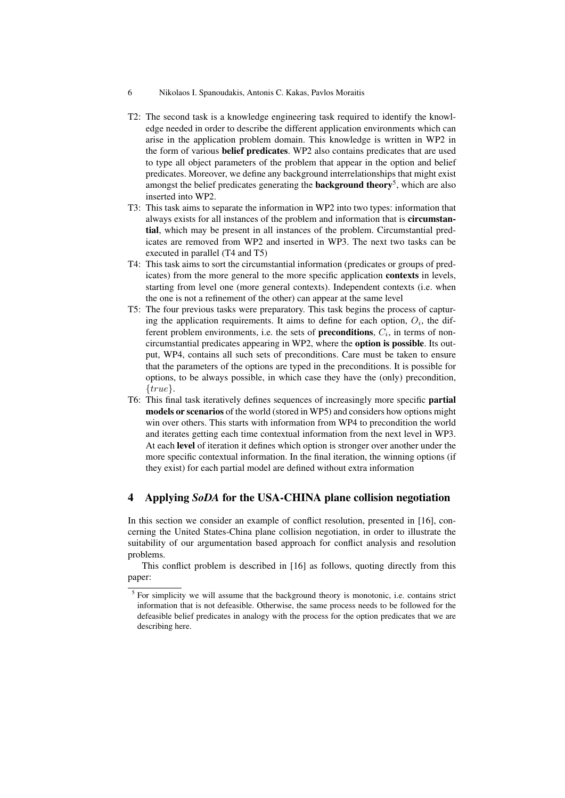- T2: The second task is a knowledge engineering task required to identify the knowledge needed in order to describe the different application environments which can arise in the application problem domain. This knowledge is written in WP2 in the form of various belief predicates. WP2 also contains predicates that are used to type all object parameters of the problem that appear in the option and belief predicates. Moreover, we define any background interrelationships that might exist amongst the belief predicates generating the **background theory**<sup>5</sup>, which are also inserted into WP2.
- T3: This task aims to separate the information in WP2 into two types: information that always exists for all instances of the problem and information that is circumstantial, which may be present in all instances of the problem. Circumstantial predicates are removed from WP2 and inserted in WP3. The next two tasks can be executed in parallel (T4 and T5)
- T4: This task aims to sort the circumstantial information (predicates or groups of predicates) from the more general to the more specific application contexts in levels, starting from level one (more general contexts). Independent contexts (i.e. when the one is not a refinement of the other) can appear at the same level
- T5: The four previous tasks were preparatory. This task begins the process of capturing the application requirements. It aims to define for each option,  $O_i$ , the different problem environments, i.e. the sets of **preconditions**,  $C_i$ , in terms of noncircumstantial predicates appearing in WP2, where the option is possible. Its output, WP4, contains all such sets of preconditions. Care must be taken to ensure that the parameters of the options are typed in the preconditions. It is possible for options, to be always possible, in which case they have the (only) precondition,  $\{true\}.$
- T6: This final task iteratively defines sequences of increasingly more specific partial models or scenarios of the world (stored in WP5) and considers how options might win over others. This starts with information from WP4 to precondition the world and iterates getting each time contextual information from the next level in WP3. At each level of iteration it defines which option is stronger over another under the more specific contextual information. In the final iteration, the winning options (if they exist) for each partial model are defined without extra information

## 4 Applying *SoDA* for the USA-CHINA plane collision negotiation

In this section we consider an example of conflict resolution, presented in [16], concerning the United States-China plane collision negotiation, in order to illustrate the suitability of our argumentation based approach for conflict analysis and resolution problems.

This conflict problem is described in [16] as follows, quoting directly from this paper:

<sup>&</sup>lt;sup>5</sup> For simplicity we will assume that the background theory is monotonic, i.e. contains strict information that is not defeasible. Otherwise, the same process needs to be followed for the defeasible belief predicates in analogy with the process for the option predicates that we are describing here.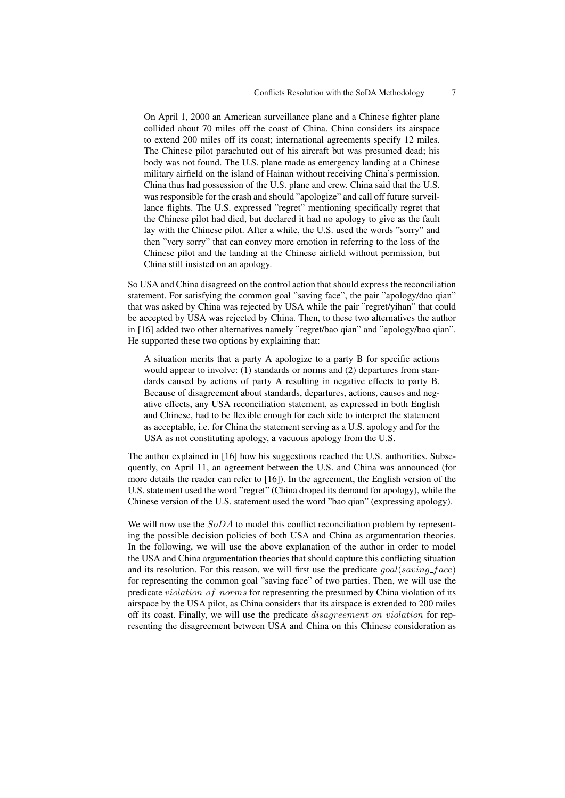On April 1, 2000 an American surveillance plane and a Chinese fighter plane collided about 70 miles off the coast of China. China considers its airspace to extend 200 miles off its coast; international agreements specify 12 miles. The Chinese pilot parachuted out of his aircraft but was presumed dead; his body was not found. The U.S. plane made as emergency landing at a Chinese military airfield on the island of Hainan without receiving China's permission. China thus had possession of the U.S. plane and crew. China said that the U.S. was responsible for the crash and should "apologize" and call off future surveillance flights. The U.S. expressed "regret" mentioning specifically regret that the Chinese pilot had died, but declared it had no apology to give as the fault lay with the Chinese pilot. After a while, the U.S. used the words "sorry" and then "very sorry" that can convey more emotion in referring to the loss of the Chinese pilot and the landing at the Chinese airfield without permission, but China still insisted on an apology.

So USA and China disagreed on the control action that should express the reconciliation statement. For satisfying the common goal "saving face", the pair "apology/dao qian" that was asked by China was rejected by USA while the pair "regret/yihan" that could be accepted by USA was rejected by China. Then, to these two alternatives the author in [16] added two other alternatives namely "regret/bao qian" and "apology/bao qian". He supported these two options by explaining that:

A situation merits that a party A apologize to a party B for specific actions would appear to involve: (1) standards or norms and (2) departures from standards caused by actions of party A resulting in negative effects to party B. Because of disagreement about standards, departures, actions, causes and negative effects, any USA reconciliation statement, as expressed in both English and Chinese, had to be flexible enough for each side to interpret the statement as acceptable, i.e. for China the statement serving as a U.S. apology and for the USA as not constituting apology, a vacuous apology from the U.S.

The author explained in [16] how his suggestions reached the U.S. authorities. Subsequently, on April 11, an agreement between the U.S. and China was announced (for more details the reader can refer to [16]). In the agreement, the English version of the U.S. statement used the word "regret" (China droped its demand for apology), while the Chinese version of the U.S. statement used the word "bao qian" (expressing apology).

We will now use the  $SoDA$  to model this conflict reconciliation problem by representing the possible decision policies of both USA and China as argumentation theories. In the following, we will use the above explanation of the author in order to model the USA and China argumentation theories that should capture this conflicting situation and its resolution. For this reason, we will first use the predicate  $qool(saving-face)$ for representing the common goal "saving face" of two parties. Then, we will use the predicate  $violation_of$  norms for representing the presumed by China violation of its airspace by the USA pilot, as China considers that its airspace is extended to 200 miles off its coast. Finally, we will use the predicate *disagreement\_on\_violation* for representing the disagreement between USA and China on this Chinese consideration as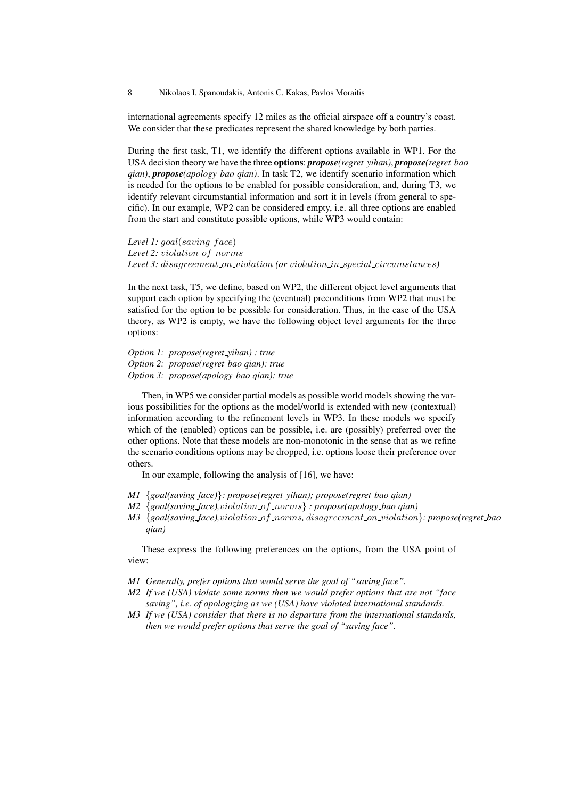international agreements specify 12 miles as the official airspace off a country's coast. We consider that these predicates represent the shared knowledge by both parties.

During the first task, T1, we identify the different options available in WP1. For the USA decision theory we have the three options: *propose(regret yihan)*, *propose(regret bao qian)*, *propose(apology bao qian)*. In task T2, we identify scenario information which is needed for the options to be enabled for possible consideration, and, during T3, we identify relevant circumstantial information and sort it in levels (from general to specific). In our example, WP2 can be considered empty, i.e. all three options are enabled from the start and constitute possible options, while WP3 would contain:

*Level 1: goal*(*saving\_face*) Level 2: violation\_of\_norms Level 3: disagreement\_on\_violation (or violation\_in\_special\_circumstances)

In the next task, T5, we define, based on WP2, the different object level arguments that support each option by specifying the (eventual) preconditions from WP2 that must be satisfied for the option to be possible for consideration. Thus, in the case of the USA theory, as WP2 is empty, we have the following object level arguments for the three options:

*Option 1: propose(regret yihan) : true Option 2: propose(regret bao qian): true Option 3: propose(apology bao qian): true*

Then, in WP5 we consider partial models as possible world models showing the various possibilities for the options as the model/world is extended with new (contextual) information according to the refinement levels in WP3. In these models we specify which of the (enabled) options can be possible, i.e. are (possibly) preferred over the other options. Note that these models are non-monotonic in the sense that as we refine the scenario conditions options may be dropped, i.e. options loose their preference over others.

In our example, following the analysis of [16], we have:

- *M1* {*goal(saving face)*}*: propose(regret yihan); propose(regret bao qian)*
- *M2* {*goal(saving face),*violation of norms} *: propose(apology bao qian)*
- *M3* {*goal(saving face),*violation of norms*,* disagreement on violation}*: propose(regret bao qian)*

These express the following preferences on the options, from the USA point of view:

- *M1 Generally, prefer options that would serve the goal of "saving face".*
- *M2 If we (USA) violate some norms then we would prefer options that are not "face saving", i.e. of apologizing as we (USA) have violated international standards.*
- *M3 If we (USA) consider that there is no departure from the international standards, then we would prefer options that serve the goal of "saving face".*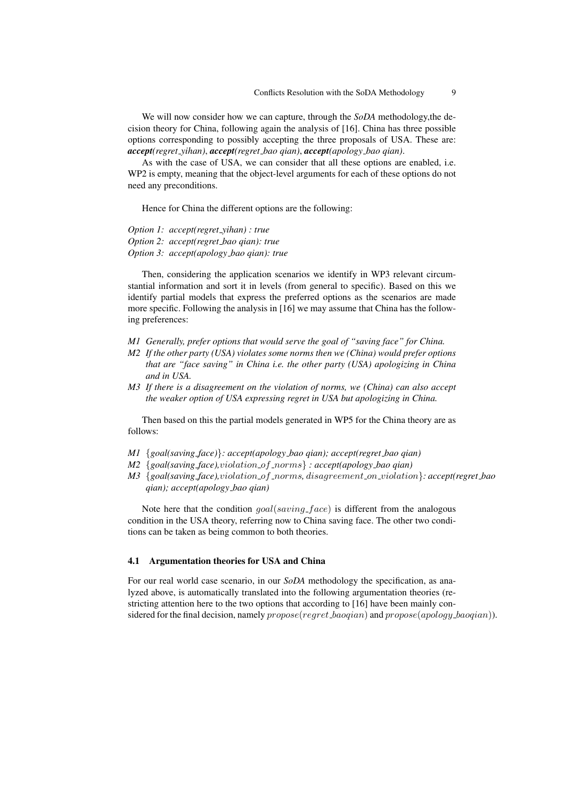We will now consider how we can capture, through the *SoDA* methodology,the decision theory for China, following again the analysis of [16]. China has three possible options corresponding to possibly accepting the three proposals of USA. These are: *accept(regret yihan)*, *accept(regret bao qian)*, *accept(apology bao qian)*.

As with the case of USA, we can consider that all these options are enabled, i.e. WP2 is empty, meaning that the object-level arguments for each of these options do not need any preconditions.

Hence for China the different options are the following:

*Option 1: accept(regret yihan) : true Option 2: accept(regret bao qian): true Option 3: accept(apology bao qian): true*

Then, considering the application scenarios we identify in WP3 relevant circumstantial information and sort it in levels (from general to specific). Based on this we identify partial models that express the preferred options as the scenarios are made more specific. Following the analysis in [16] we may assume that China has the following preferences:

- *M1 Generally, prefer options that would serve the goal of "saving face" for China.*
- *M2 If the other party (USA) violates some norms then we (China) would prefer options that are "face saving" in China i.e. the other party (USA) apologizing in China and in USA.*
- *M3 If there is a disagreement on the violation of norms, we (China) can also accept the weaker option of USA expressing regret in USA but apologizing in China.*

Then based on this the partial models generated in WP5 for the China theory are as follows:

- *M1* {*goal(saving face)*}*: accept(apology bao qian); accept(regret bao qian)*
- *M2*  ${goul(saving-face), violation_of</u>_$ *\_norms* $$}$  *: accept(apology_bao qian)*$
- *M3* {*goal(saving face),*violation of norms*,* disagreement on violation}*: accept(regret bao qian); accept(apology bao qian)*

Note here that the condition  $goal(saving-face)$  is different from the analogous condition in the USA theory, referring now to China saving face. The other two conditions can be taken as being common to both theories.

### 4.1 Argumentation theories for USA and China

For our real world case scenario, in our *SoDA* methodology the specification, as analyzed above, is automatically translated into the following argumentation theories (restricting attention here to the two options that according to [16] have been mainly considered for the final decision, namely  $propose(regret\_baogian)$  and  $propose(apology\_baogian)$ ).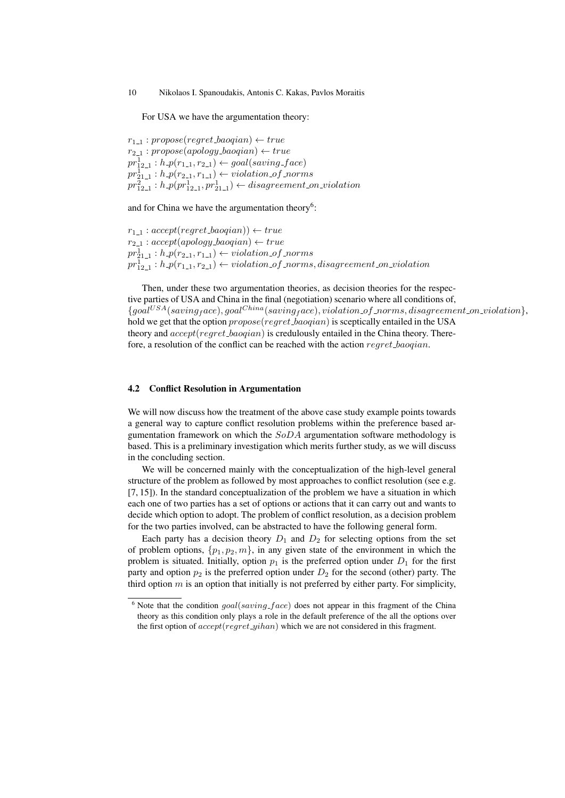For USA we have the argumentation theory:

 $r_{1,1} : propose(regret\_baoqian) \leftarrow true$  $r_{2-1} : propose(apology\_baogan) \leftarrow true$  $pr_{12}^1 : h_{\mathcal{P}}(r_{1\_1}, r_{2\_1}) \leftarrow goal(saving\_{face})$  $pr_{21}^1 : h_{\mathcal{P}}(r_{2,1}, r_{1,1}) \leftarrow violation\_of\_norms$  $pr_{12\_1}^2 : h \text{-} p(pr_{12\_1}^1, pr_{21\_1}^1) \leftarrow disagreement\_on\_violation$ 

and for China we have the argumentation theory<sup>6</sup>:

 $r_{1,1} : accept(regret\_baogian)) \leftarrow true$  $r_{2-1} : accept(apology\_baogian) \leftarrow true$  $pr_{21}^1 : h_{\mathcal{P}}(r_{2,1}, r_{1,1}) \leftarrow violation\_of\_norms$  $pr_{12\_1}^1 : h \lrcorner p(r_{1\_\_1}, r_{2\_\_1}) \leftarrow violation\_of\_norms, disagreement\_on\_violation$ 

Then, under these two argumentation theories, as decision theories for the respective parties of USA and China in the final (negotiation) scenario where all conditions of,  ${qo}a^{USA}(saving face), goal^{China}(saving face), violation of norms, disagreement on-violation\},$ hold we get that the option *propose* (regret\_baoqian) is sceptically entailed in the USA theory and  $accept(regret_baoqian)$  is credulously entailed in the China theory. Therefore, a resolution of the conflict can be reached with the action regret\_baoqian.

### 4.2 Conflict Resolution in Argumentation

We will now discuss how the treatment of the above case study example points towards a general way to capture conflict resolution problems within the preference based argumentation framework on which the  $SoDA$  argumentation software methodology is based. This is a preliminary investigation which merits further study, as we will discuss in the concluding section.

We will be concerned mainly with the conceptualization of the high-level general structure of the problem as followed by most approaches to conflict resolution (see e.g. [7, 15]). In the standard conceptualization of the problem we have a situation in which each one of two parties has a set of options or actions that it can carry out and wants to decide which option to adopt. The problem of conflict resolution, as a decision problem for the two parties involved, can be abstracted to have the following general form.

Each party has a decision theory  $D_1$  and  $D_2$  for selecting options from the set of problem options,  $\{p_1, p_2, m\}$ , in any given state of the environment in which the problem is situated. Initially, option  $p_1$  is the preferred option under  $D_1$  for the first party and option  $p_2$  is the preferred option under  $D_2$  for the second (other) party. The third option  $m$  is an option that initially is not preferred by either party. For simplicity,

 $6$  Note that the condition goal(saving face) does not appear in this fragment of the China theory as this condition only plays a role in the default preference of the all the options over the first option of  $accept(regret\_yihan)$  which we are not considered in this fragment.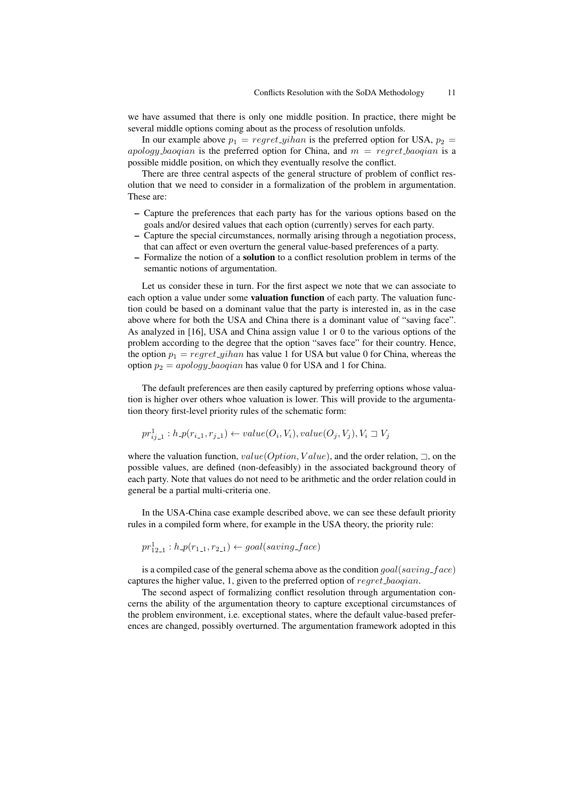we have assumed that there is only one middle position. In practice, there might be several middle options coming about as the process of resolution unfolds.

In our example above  $p_1 = regret\_yihan$  is the preferred option for USA,  $p_2 =$ apology baoqian is the preferred option for China, and  $m = regret$  baoqian is a possible middle position, on which they eventually resolve the conflict.

There are three central aspects of the general structure of problem of conflict resolution that we need to consider in a formalization of the problem in argumentation. These are:

- Capture the preferences that each party has for the various options based on the goals and/or desired values that each option (currently) serves for each party.
- Capture the special circumstances, normally arising through a negotiation process, that can affect or even overturn the general value-based preferences of a party.
- Formalize the notion of a solution to a conflict resolution problem in terms of the semantic notions of argumentation.

Let us consider these in turn. For the first aspect we note that we can associate to each option a value under some **valuation function** of each party. The valuation function could be based on a dominant value that the party is interested in, as in the case above where for both the USA and China there is a dominant value of "saving face". As analyzed in [16], USA and China assign value 1 or 0 to the various options of the problem according to the degree that the option "saves face" for their country. Hence, the option  $p_1 = regret\_yihan$  has value 1 for USA but value 0 for China, whereas the option  $p_2 = $a \text{poly\_}$  baoqian has value 0 for USA and 1 for China.$ 

The default preferences are then easily captured by preferring options whose valuation is higher over others whoe valuation is lower. This will provide to the argumentation theory first-level priority rules of the schematic form:

$$
pr_{ij\_1}^1: h \text{-} p(r_{i\_1}, r_{j\_1}) \leftarrow value(O_i, V_i), value(O_j, V_j), V_i \sqsupset V_j
$$

where the valuation function,  $value(Option, Value)$ , and the order relation,  $\exists$ , on the possible values, are defined (non-defeasibly) in the associated background theory of each party. Note that values do not need to be arithmetic and the order relation could in general be a partial multi-criteria one.

In the USA-China case example described above, we can see these default priority rules in a compiled form where, for example in the USA theory, the priority rule:

$$
pr11_{2\_1}: h\_p(r_{1\_1}, r_{2\_1}) \leftarrow goal(saving\_face)
$$

is a compiled case of the general schema above as the condition  $goal(saving_face)$ captures the higher value, 1, given to the preferred option of regret baoqian.

The second aspect of formalizing conflict resolution through argumentation concerns the ability of the argumentation theory to capture exceptional circumstances of the problem environment, i.e. exceptional states, where the default value-based preferences are changed, possibly overturned. The argumentation framework adopted in this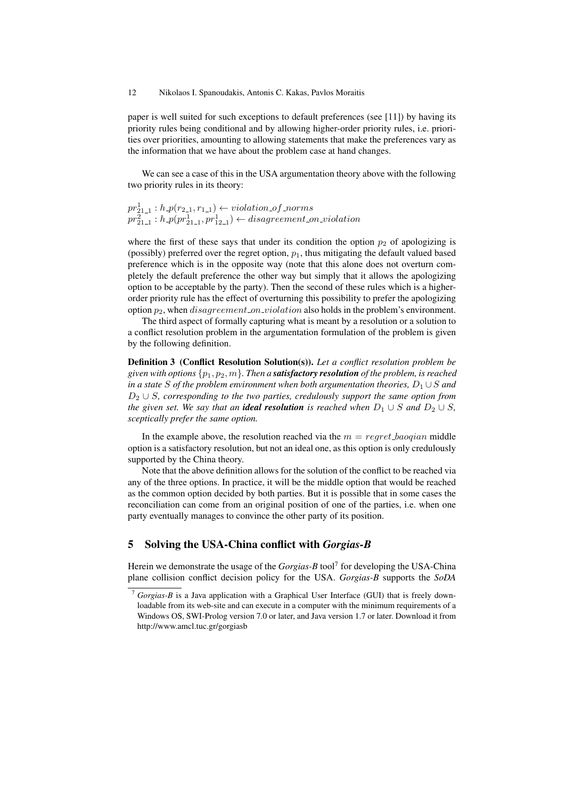paper is well suited for such exceptions to default preferences (see [11]) by having its priority rules being conditional and by allowing higher-order priority rules, i.e. priorities over priorities, amounting to allowing statements that make the preferences vary as the information that we have about the problem case at hand changes.

We can see a case of this in the USA argumentation theory above with the following two priority rules in its theory:

 $pr_{21}^1 : h \cdot p(r_{2}^1, r_{1}^1) \leftarrow violation\_of\_norms$  $pr_{21 \_1}^2 : h \_p(pr_{21 \_1}^1, pr_{12 \_1}^1) \leftarrow disagreement\_on\_violation$ 

where the first of these says that under its condition the option  $p_2$  of apologizing is (possibly) preferred over the regret option,  $p_1$ , thus mitigating the default valued based preference which is in the opposite way (note that this alone does not overturn completely the default preference the other way but simply that it allows the apologizing option to be acceptable by the party). Then the second of these rules which is a higherorder priority rule has the effect of overturning this possibility to prefer the apologizing option  $p_2$ , when *disagreement\_on\_violation* also holds in the problem's environment.

The third aspect of formally capturing what is meant by a resolution or a solution to a conflict resolution problem in the argumentation formulation of the problem is given by the following definition.

Definition 3 (Conflict Resolution Solution(s)). *Let a conflict resolution problem be given with options*  $\{p_1, p_2, m\}$ . Then a *satisfactory resolution of the problem, is reached in a state* S *of the problem environment when both argumentation theories,*  $D_1 \cup S$  *and* D<sup>2</sup> ∪ S*, corresponding to the two parties, credulously support the same option from the given set. We say that an <i>ideal resolution is reached when*  $D_1 \cup S$  *and*  $D_2 \cup S$ *, sceptically prefer the same option.*

In the example above, the resolution reached via the  $m = regret\_baogian$  middle option is a satisfactory resolution, but not an ideal one, as this option is only credulously supported by the China theory.

Note that the above definition allows for the solution of the conflict to be reached via any of the three options. In practice, it will be the middle option that would be reached as the common option decided by both parties. But it is possible that in some cases the reconciliation can come from an original position of one of the parties, i.e. when one party eventually manages to convince the other party of its position.

## 5 Solving the USA-China conflict with *Gorgias-B*

Herein we demonstrate the usage of the *Gorgias-B* tool<sup>7</sup> for developing the USA-China plane collision conflict decision policy for the USA. *Gorgias-B* supports the *SoDA*

<sup>&</sup>lt;sup>7</sup> *Gorgias-B* is a Java application with a Graphical User Interface (GUI) that is freely downloadable from its web-site and can execute in a computer with the minimum requirements of a Windows OS, SWI-Prolog version 7.0 or later, and Java version 1.7 or later. Download it from http://www.amcl.tuc.gr/gorgiasb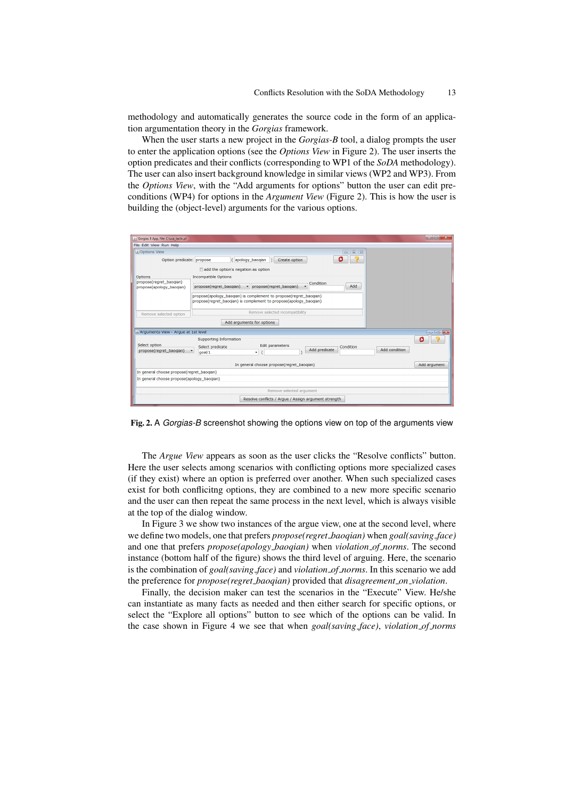methodology and automatically generates the source code in the form of an application argumentation theory in the *Gorgias* framework.

When the user starts a new project in the *Gorgias-B* tool, a dialog prompts the user to enter the application options (see the *Options View* in Figure 2). The user inserts the option predicates and their conflicts (corresponding to WP1 of the *SoDA* methodology). The user can also insert background knowledge in similar views (WP2 and WP3). From the *Options View*, with the "Add arguments for options" button the user can edit preconditions (WP4) for options in the *Argument View* (Figure 2). This is how the user is building the (object-level) arguments for the various options.



Fig. 2. A *Gorgias-B* screenshot showing the options view on top of the arguments view

The *Argue View* appears as soon as the user clicks the "Resolve conflicts" button. Here the user selects among scenarios with conflicting options more specialized cases (if they exist) where an option is preferred over another. When such specialized cases exist for both conflicitng options, they are combined to a new more specific scenario and the user can then repeat the same process in the next level, which is always visible at the top of the dialog window.

In Figure 3 we show two instances of the argue view, one at the second level, where we define two models, one that prefers *propose(regret baoqian)* when *goal(saving face)* and one that prefers *propose(apology baoqian)* when *violation of norms*. The second instance (bottom half of the figure) shows the third level of arguing. Here, the scenario is the combination of *goal(saving face)* and *violation of norms*. In this scenario we add the preference for *propose(regret baoqian)* provided that *disagreement on violation*.

Finally, the decision maker can test the scenarios in the "Execute" View. He/she can instantiate as many facts as needed and then either search for specific options, or select the "Explore all options" button to see which of the options can be valid. In the case shown in Figure 4 we see that when *goal(saving face)*, *violation of norms*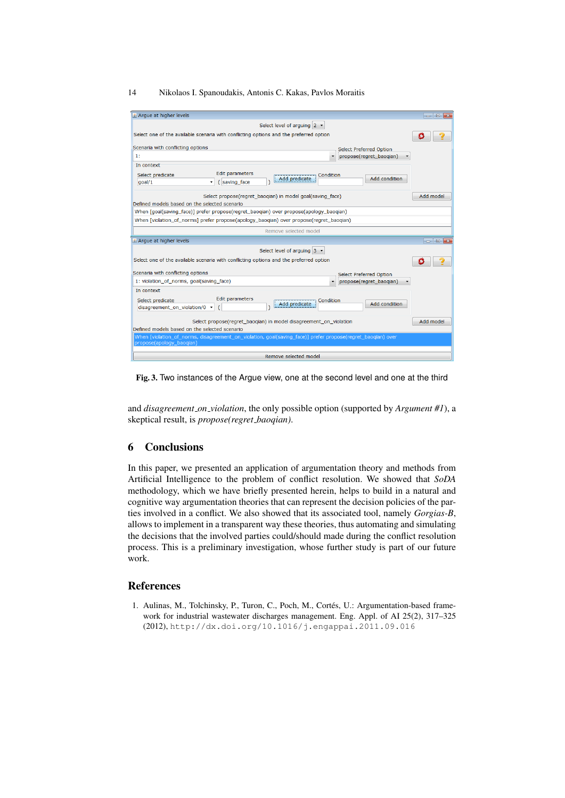| Arque at higher levels                                                                                                                  | $\begin{array}{c c c c c c} \hline \multicolumn{3}{c }{\mathbf{0}} & \multicolumn{3}{c }{\mathbf{0}} & \multicolumn{3}{c }{\mathbf{0}} \\\hline \multicolumn{3}{c }{\mathbf{0}} & \multicolumn{3}{c }{\mathbf{0}} & \multicolumn{3}{c }{\mathbf{0}} \end{array}$ |
|-----------------------------------------------------------------------------------------------------------------------------------------|------------------------------------------------------------------------------------------------------------------------------------------------------------------------------------------------------------------------------------------------------------------|
| Select level of arguing $2 \rightarrow$                                                                                                 |                                                                                                                                                                                                                                                                  |
| Select one of the available scenaria with conflicting options and the preferred option                                                  |                                                                                                                                                                                                                                                                  |
| Scenaria with conflicting options<br>Select Preferred Option                                                                            |                                                                                                                                                                                                                                                                  |
| 1:<br>propose(regret_baoqian)                                                                                                           |                                                                                                                                                                                                                                                                  |
| In context                                                                                                                              |                                                                                                                                                                                                                                                                  |
| Edit parameters<br>Select predicate<br>Condition<br>Add condition<br>Add predicate<br>(saving face<br>goal/1<br>۰                       |                                                                                                                                                                                                                                                                  |
| Select propose(regret_baoqian) in model goal(saving_face)<br>Defined models based on the selected scenario                              | Add model                                                                                                                                                                                                                                                        |
| When [goal(saving_face)] prefer propose(regret_baogian) over propose(apology_baogian)                                                   |                                                                                                                                                                                                                                                                  |
| When [violation_of_norms] prefer propose(apology_baogian) over propose(regret_baogian)                                                  |                                                                                                                                                                                                                                                                  |
| Remove selected model                                                                                                                   |                                                                                                                                                                                                                                                                  |
| Arque at higher levels                                                                                                                  | $\begin{array}{c c c c c} \hline \multicolumn{1}{c }{\mathbf{0}} & \multicolumn{1}{c }{\mathbf{0}} & \multicolumn{1}{c }{\mathbf{0}} \end{array}$                                                                                                                |
| Select level of arguing $3 \rightarrow$                                                                                                 |                                                                                                                                                                                                                                                                  |
| Select one of the available scenaria with conflicting options and the preferred option                                                  |                                                                                                                                                                                                                                                                  |
| Scenaria with conflicting options<br>Select Preferred Option                                                                            |                                                                                                                                                                                                                                                                  |
| 1: violation of norms, goal(saving face)<br>propose(regret_baoqian)                                                                     |                                                                                                                                                                                                                                                                  |
| In context                                                                                                                              |                                                                                                                                                                                                                                                                  |
| <b>Edit parameters</b><br>Select predicate<br>Condition<br>Add predicate<br><b>Add condition</b><br>disagreement_on_violation/0         |                                                                                                                                                                                                                                                                  |
| Select propose(regret_baoqian) in model disagreement_on_violation                                                                       | Add model                                                                                                                                                                                                                                                        |
| Defined models based on the selected scenario                                                                                           |                                                                                                                                                                                                                                                                  |
| When [violation_of_norms, disagreement_on_violation, goal(saving_face)] prefer propose(regret_baogian) over<br>propose(apology_baoqian) |                                                                                                                                                                                                                                                                  |
| Remove selected model                                                                                                                   |                                                                                                                                                                                                                                                                  |

Fig. 3. Two instances of the Argue view, one at the second level and one at the third

and *disagreement on violation*, the only possible option (supported by *Argument #1*), a skeptical result, is *propose(regret baoqian)*.

## 6 Conclusions

In this paper, we presented an application of argumentation theory and methods from Artificial Intelligence to the problem of conflict resolution. We showed that *SoDA* methodology, which we have briefly presented herein, helps to build in a natural and cognitive way argumentation theories that can represent the decision policies of the parties involved in a conflict. We also showed that its associated tool, namely *Gorgias-B*, allows to implement in a transparent way these theories, thus automating and simulating the decisions that the involved parties could/should made during the conflict resolution process. This is a preliminary investigation, whose further study is part of our future work.

# References

1. Aulinas, M., Tolchinsky, P., Turon, C., Poch, M., Cortés, U.: Argumentation-based framework for industrial wastewater discharges management. Eng. Appl. of AI 25(2), 317–325 (2012), http://dx.doi.org/10.1016/j.engappai.2011.09.016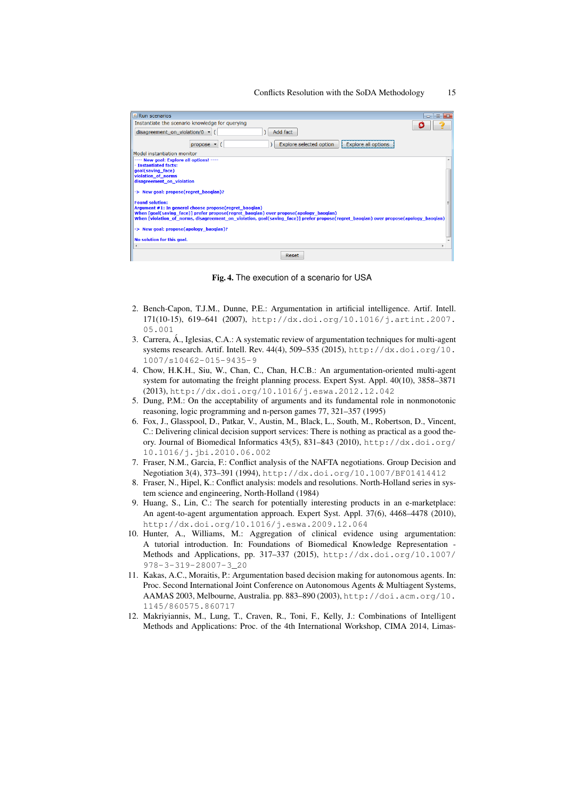

Fig. 4. The execution of a scenario for USA

- 2. Bench-Capon, T.J.M., Dunne, P.E.: Argumentation in artificial intelligence. Artif. Intell. 171(10-15), 619–641 (2007), http://dx.doi.org/10.1016/j.artint.2007. 05.001
- 3. Carrera, A., Iglesias, C.A.: A systematic review of argumentation techniques for multi-agent ´ systems research. Artif. Intell. Rev.  $44(4)$ , 509–535 (2015), http://dx.doi.org/10. 1007/s10462-015-9435-9
- 4. Chow, H.K.H., Siu, W., Chan, C., Chan, H.C.B.: An argumentation-oriented multi-agent system for automating the freight planning process. Expert Syst. Appl. 40(10), 3858–3871 (2013), http://dx.doi.org/10.1016/j.eswa.2012.12.042
- 5. Dung, P.M.: On the acceptability of arguments and its fundamental role in nonmonotonic reasoning, logic programming and n-person games 77, 321–357 (1995)
- 6. Fox, J., Glasspool, D., Patkar, V., Austin, M., Black, L., South, M., Robertson, D., Vincent, C.: Delivering clinical decision support services: There is nothing as practical as a good theory. Journal of Biomedical Informatics 43(5), 831–843 (2010), http://dx.doi.org/ 10.1016/j.jbi.2010.06.002
- 7. Fraser, N.M., Garcia, F.: Conflict analysis of the NAFTA negotiations. Group Decision and Negotiation 3(4), 373–391 (1994), http://dx.doi.org/10.1007/BF01414412
- 8. Fraser, N., Hipel, K.: Conflict analysis: models and resolutions. North-Holland series in system science and engineering, North-Holland (1984)
- 9. Huang, S., Lin, C.: The search for potentially interesting products in an e-marketplace: An agent-to-agent argumentation approach. Expert Syst. Appl. 37(6), 4468–4478 (2010), http://dx.doi.org/10.1016/j.eswa.2009.12.064
- 10. Hunter, A., Williams, M.: Aggregation of clinical evidence using argumentation: A tutorial introduction. In: Foundations of Biomedical Knowledge Representation - Methods and Applications, pp. 317–337 (2015), http://dx.doi.org/10.1007/ 978-3-319-28007-3\_20
- 11. Kakas, A.C., Moraitis, P.: Argumentation based decision making for autonomous agents. In: Proc. Second International Joint Conference on Autonomous Agents & Multiagent Systems, AAMAS 2003, Melbourne, Australia. pp. 883–890 (2003), http://doi.acm.org/10. 1145/860575.860717
- 12. Makriyiannis, M., Lung, T., Craven, R., Toni, F., Kelly, J.: Combinations of Intelligent Methods and Applications: Proc. of the 4th International Workshop, CIMA 2014, Limas-